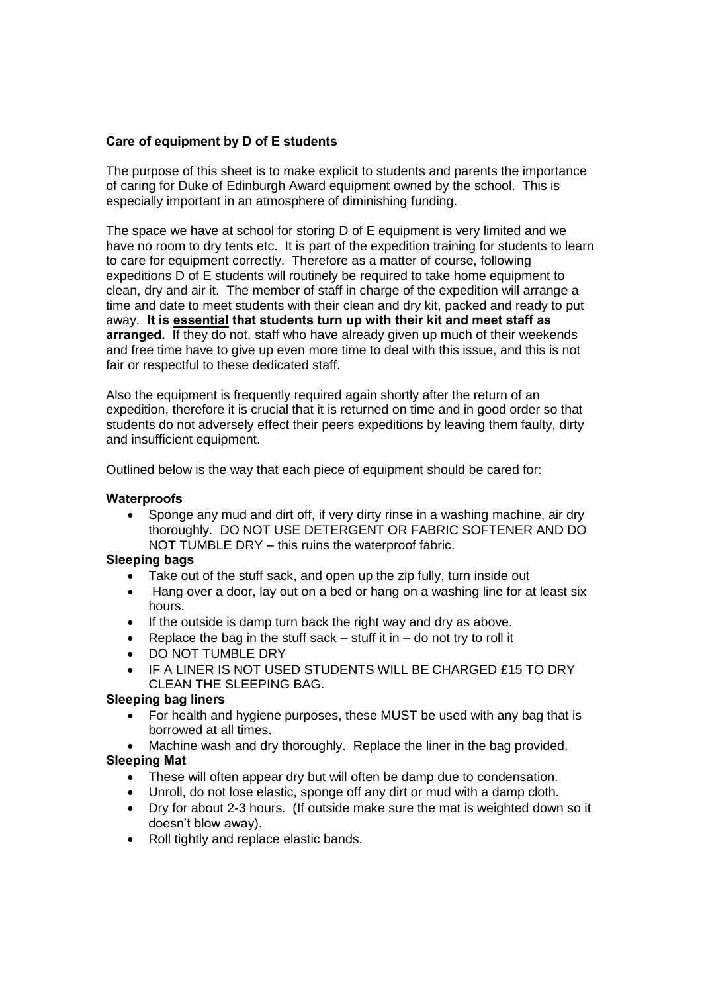## **Care of equipment by D of E students**

The purpose of this sheet is to make explicit to students and parents the importance of caring for Duke of Edinburgh Award equipment owned by the school. This is especially important in an atmosphere of diminishing funding.

The space we have at school for storing D of E equipment is very limited and we have no room to dry tents etc. It is part of the expedition training for students to learn to care for equipment correctly. Therefore as a matter of course, following expeditions D of E students will routinely be required to take home equipment to clean, dry and air it. The member of staff in charge of the expedition will arrange a time and date to meet students with their clean and dry kit, packed and ready to put away. **It is essential that students turn up with their kit and meet staff as arranged.** If they do not, staff who have already given up much of their weekends and free time have to give up even more time to deal with this issue, and this is not fair or respectful to these dedicated staff.

Also the equipment is frequently required again shortly after the return of an expedition, therefore it is crucial that it is returned on time and in good order so that students do not adversely effect their peers expeditions by leaving them faulty, dirty and insufficient equipment.

Outlined below is the way that each piece of equipment should be cared for:

#### **Waterproofs**

 Sponge any mud and dirt off, if very dirty rinse in a washing machine, air dry thoroughly. DO NOT USE DETERGENT OR FABRIC SOFTENER AND DO NOT TUMBLE DRY – this ruins the waterproof fabric.

#### **Sleeping bags**

- Take out of the stuff sack, and open up the zip fully, turn inside out
- Hang over a door, lay out on a bed or hang on a washing line for at least six hours.
- If the outside is damp turn back the right way and dry as above.
- Replace the bag in the stuff sack  $-$  stuff it in  $-$  do not try to roll it
- **DO NOT TUMBLE DRY**
- IF A LINER IS NOT USED STUDENTS WILL BE CHARGED £15 TO DRY CLEAN THE SLEEPING BAG.

### **Sleeping bag liners**

- For health and hygiene purposes, these MUST be used with any bag that is borrowed at all times.
- Machine wash and dry thoroughly. Replace the liner in the bag provided. **Sleeping Mat**
	- These will often appear dry but will often be damp due to condensation.
	- Unroll, do not lose elastic, sponge off any dirt or mud with a damp cloth.
	- Dry for about 2-3 hours. (If outside make sure the mat is weighted down so it doesn't blow away).
	- Roll tightly and replace elastic bands.